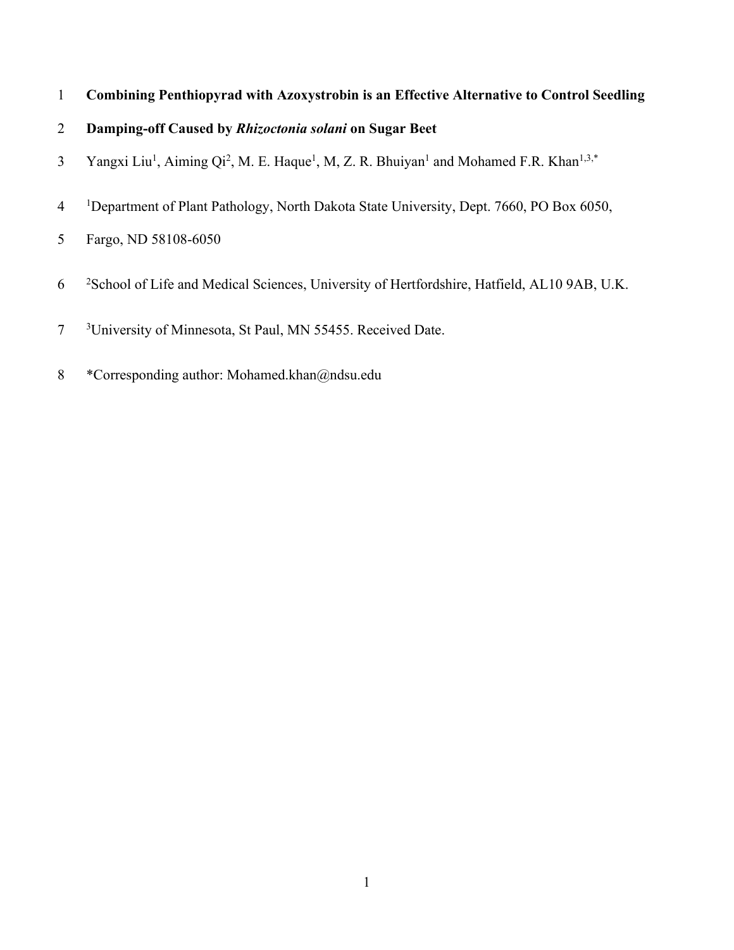# 1 **Combining Penthiopyrad with Azoxystrobin is an Effective Alternative to Control Seedling**

# 2 **Damping-off Caused by** *Rhizoctonia solani* **on Sugar Beet**

- 3 Yangxi Liu<sup>1</sup>, Aiming Qi<sup>2</sup>, M. E. Haque<sup>1</sup>, M, Z. R. Bhuiyan<sup>1</sup> and Mohamed F.R. Khan<sup>1,3,\*</sup>
- 4 <sup>1</sup> <sup>1</sup>Department of Plant Pathology, North Dakota State University, Dept. 7660, PO Box 6050,
- 5 Fargo, ND 58108-6050
- 6 <sup>2</sup>School of Life and Medical Sciences, University of Hertfordshire, Hatfield, AL10 9AB, U.K.
- $\overline{7}$ <sup>3</sup>University of Minnesota, St Paul, MN 55455. Received Date.
- 8 \*Corresponding author: Mohamed.khan@ndsu.edu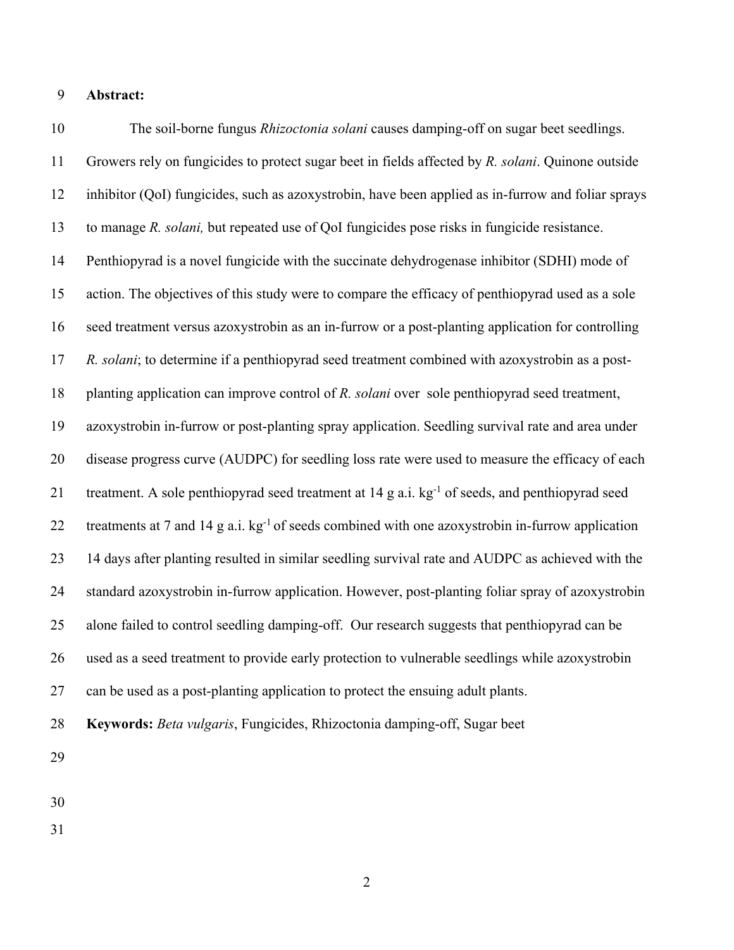### **Abstract:**

 The soil-borne fungus *Rhizoctonia solani* causes damping-off on sugar beet seedlings. Growers rely on fungicides to protect sugar beet in fields affected by *R. solani*. Quinone outside inhibitor (QoI) fungicides, such as azoxystrobin, have been applied as in-furrow and foliar sprays to manage *R. solani,* but repeated use of QoI fungicides pose risks in fungicide resistance. Penthiopyrad is a novel fungicide with the succinate dehydrogenase inhibitor (SDHI) mode of action. The objectives of this study were to compare the efficacy of penthiopyrad used as a sole seed treatment versus azoxystrobin as an in-furrow or a post-planting application for controlling *R. solani*; to determine if a penthiopyrad seed treatment combined with azoxystrobin as a post- planting application can improve control of *R. solani* over sole penthiopyrad seed treatment, azoxystrobin in-furrow or post-planting spray application. Seedling survival rate and area under disease progress curve (AUDPC) for seedling loss rate were used to measure the efficacy of each 21 treatment. A sole penthiopyrad seed treatment at g a.i. kg<sup>-1</sup> of seeds, and penthiopyrad seed 22 treatments at 7 and 14 g a.i.  $kg^{-1}$  of seeds combined with one azoxystrobin in-furrow application 14 days after planting resulted in similar seedling survival rate and AUDPC as achieved with the standard azoxystrobin in-furrow application. However, post-planting foliar spray of azoxystrobin alone failed to control seedling damping-off. Our research suggests that penthiopyrad can be used as a seed treatment to provide early protection to vulnerable seedlings while azoxystrobin can be used as a post-planting application to protect the ensuing adult plants. **Keywords:** *Beta vulgaris*, Fungicides, Rhizoctonia damping-off, Sugar beet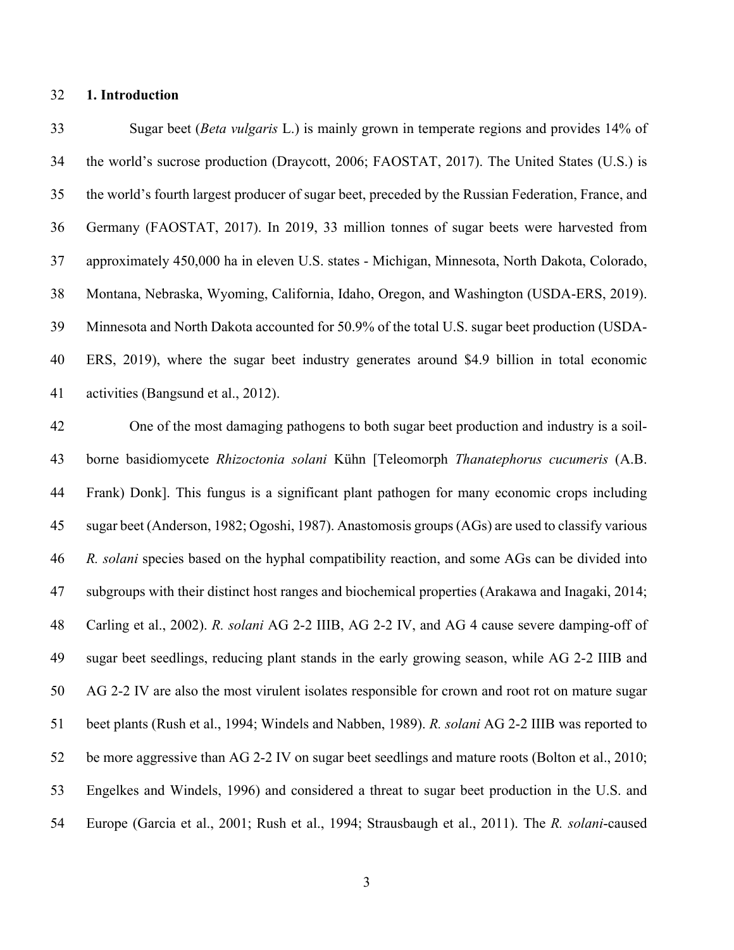### **1. Introduction**

 Sugar beet (*Beta vulgaris* L.) is mainly grown in temperate regions and provides 14% of the world's sucrose production (Draycott, 2006; FAOSTAT, 2017). The United States (U.S.) is the world's fourth largest producer of sugar beet, preceded by the Russian Federation, France, and Germany (FAOSTAT, 2017). In 2019, 33 million tonnes of sugar beets were harvested from approximately 450,000 ha in eleven U.S. states - Michigan, Minnesota, North Dakota, Colorado, Montana, Nebraska, Wyoming, California, Idaho, Oregon, and Washington (USDA-ERS, 2019). Minnesota and North Dakota accounted for 50.9% of the total U.S. sugar beet production (USDA- ERS, 2019), where the sugar beet industry generates around \$4.9 billion in total economic activities (Bangsund et al., 2012).

 One of the most damaging pathogens to both sugar beet production and industry is a soil- borne basidiomycete *Rhizoctonia solani* Kühn [Teleomorph *Thanatephorus cucumeris* (A.B. Frank) Donk]. This fungus is a significant plant pathogen for many economic crops including sugar beet (Anderson, 1982; Ogoshi, 1987). Anastomosis groups (AGs) are used to classify various *R. solani* species based on the hyphal compatibility reaction, and some AGs can be divided into subgroups with their distinct host ranges and biochemical properties (Arakawa and Inagaki, 2014; Carling et al., 2002). *R. solani* AG 2-2 IIIB, AG 2-2 IV, and AG 4 cause severe damping-off of sugar beet seedlings, reducing plant stands in the early growing season, while AG 2-2 IIIB and AG 2-2 IV are also the most virulent isolates responsible for crown and root rot on mature sugar beet plants (Rush et al., 1994; Windels and Nabben, 1989). *R. solani* AG 2-2 IIIB was reported to be more aggressive than AG 2-2 IV on sugar beet seedlings and mature roots (Bolton et al., 2010; Engelkes and Windels, 1996) and considered a threat to sugar beet production in the U.S. and Europe (Garcia et al., 2001; Rush et al., 1994; Strausbaugh et al., 2011). The *R. solani*-caused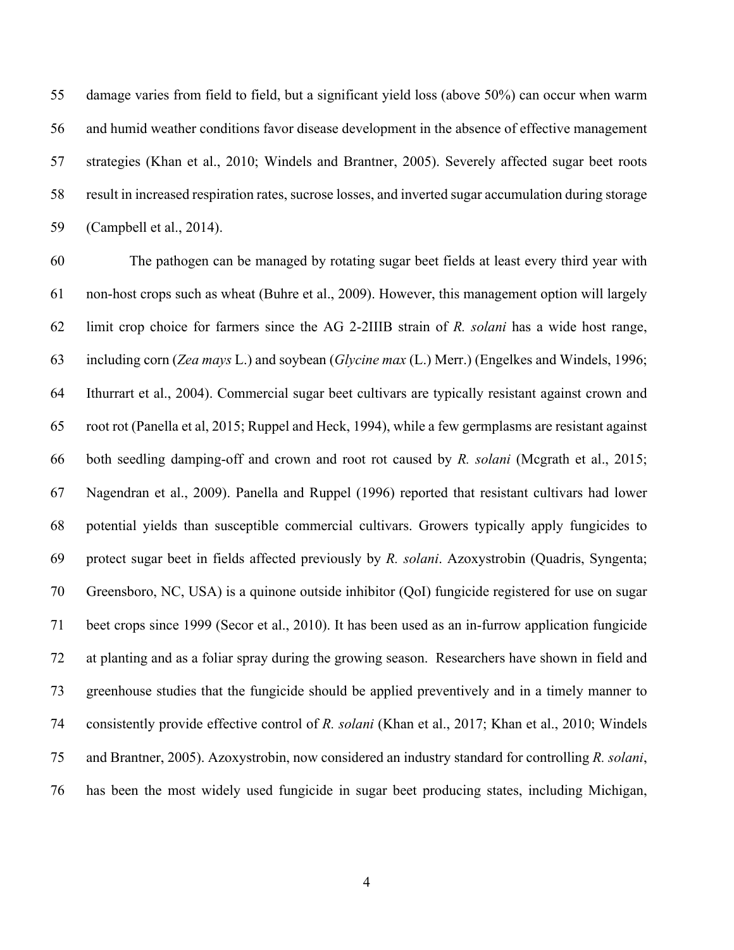damage varies from field to field, but a significant yield loss (above 50%) can occur when warm and humid weather conditions favor disease development in the absence of effective management strategies (Khan et al., 2010; Windels and Brantner, 2005). Severely affected sugar beet roots result in increased respiration rates, sucrose losses, and inverted sugar accumulation during storage (Campbell et al., 2014).

 The pathogen can be managed by rotating sugar beet fields at least every third year with non-host crops such as wheat (Buhre et al., 2009). However, this management option will largely limit crop choice for farmers since the AG 2-2IIIB strain of *R. solani* has a wide host range, including corn (*Zea mays* L.) and soybean (*Glycine max* (L.) Merr.) (Engelkes and Windels, 1996; Ithurrart et al., 2004). Commercial sugar beet cultivars are typically resistant against crown and root rot (Panella et al, 2015; Ruppel and Heck, 1994), while a few germplasms are resistant against both seedling damping-off and crown and root rot caused by *R. solani* (Mcgrath et al., 2015; Nagendran et al., 2009). Panella and Ruppel (1996) reported that resistant cultivars had lower potential yields than susceptible commercial cultivars. Growers typically apply fungicides to protect sugar beet in fields affected previously by *R. solani*. Azoxystrobin (Quadris, Syngenta; Greensboro, NC, USA) is a quinone outside inhibitor (QoI) fungicide registered for use on sugar beet crops since 1999 (Secor et al., 2010). It has been used as an in-furrow application fungicide at planting and as a foliar spray during the growing season. Researchers have shown in field and greenhouse studies that the fungicide should be applied preventively and in a timely manner to consistently provide effective control of *R. solani* (Khan et al., 2017; Khan et al., 2010; Windels and Brantner, 2005). Azoxystrobin, now considered an industry standard for controlling *R. solani*, has been the most widely used fungicide in sugar beet producing states, including Michigan,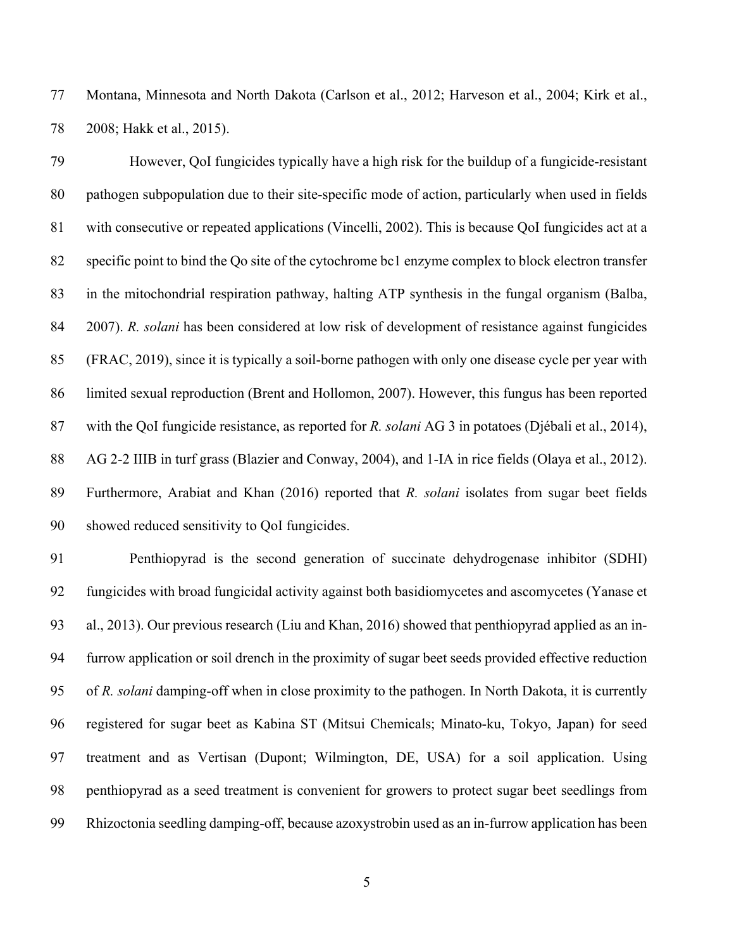Montana, Minnesota and North Dakota (Carlson et al., 2012; Harveson et al., 2004; Kirk et al., 2008; Hakk et al., 2015).

 However, QoI fungicides typically have a high risk for the buildup of a fungicide-resistant pathogen subpopulation due to their site-specific mode of action, particularly when used in fields with consecutive or repeated applications (Vincelli, 2002). This is because QoI fungicides act at a specific point to bind the Qo site of the cytochrome bc1 enzyme complex to block electron transfer in the mitochondrial respiration pathway, halting ATP synthesis in the fungal organism (Balba, 2007). *R. solani* has been considered at low risk of development of resistance against fungicides (FRAC, 2019), since it is typically a soil-borne pathogen with only one disease cycle per year with limited sexual reproduction (Brent and Hollomon, 2007). However, this fungus has been reported with the QoI fungicide resistance, as reported for *R. solani* AG 3 in potatoes (Djébali et al., 2014), AG 2-2 IIIB in turf grass (Blazier and Conway, 2004), and 1-IA in rice fields (Olaya et al., 2012). Furthermore, Arabiat and Khan (2016) reported that *R. solani* isolates from sugar beet fields showed reduced sensitivity to QoI fungicides.

 Penthiopyrad is the second generation of succinate dehydrogenase inhibitor (SDHI) fungicides with broad fungicidal activity against both basidiomycetes and ascomycetes (Yanase et al., 2013). Our previous research (Liu and Khan, 2016) showed that penthiopyrad applied as an in- furrow application or soil drench in the proximity of sugar beet seeds provided effective reduction of *R. solani* damping-off when in close proximity to the pathogen. In North Dakota, it is currently registered for sugar beet as Kabina ST (Mitsui Chemicals; Minato-ku, Tokyo, Japan) for seed treatment and as Vertisan (Dupont; Wilmington, DE, USA) for a soil application. Using penthiopyrad as a seed treatment is convenient for growers to protect sugar beet seedlings from Rhizoctonia seedling damping-off, because azoxystrobin used as an in-furrow application has been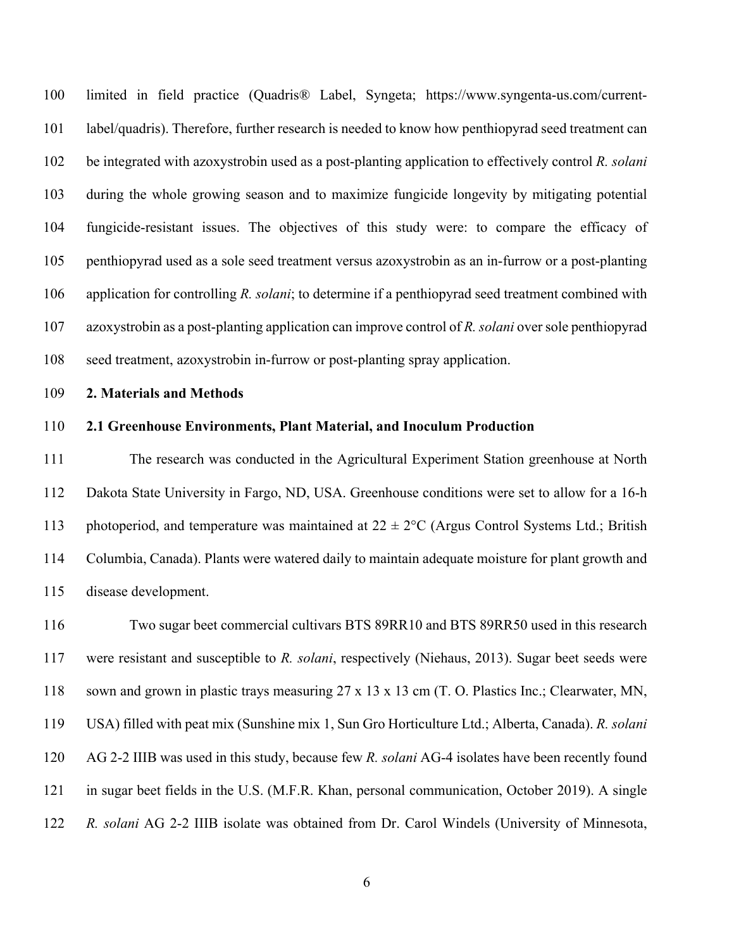limited in field practice (Quadris® Label, Syngeta; https://www.syngenta-us.com/current- label/quadris). Therefore, further research is needed to know how penthiopyrad seed treatment can be integrated with azoxystrobin used as a post-planting application to effectively control *R. solani*  during the whole growing season and to maximize fungicide longevity by mitigating potential fungicide-resistant issues. The objectives of this study were: to compare the efficacy of penthiopyrad used as a sole seed treatment versus azoxystrobin as an in-furrow or a post-planting application for controlling *R. solani*; to determine if a penthiopyrad seed treatment combined with azoxystrobin as a post-planting application can improve control of *R. solani* over sole penthiopyrad seed treatment, azoxystrobin in-furrow or post-planting spray application.

#### **2. Materials and Methods**

#### **2.1 Greenhouse Environments, Plant Material, and Inoculum Production**

 The research was conducted in the Agricultural Experiment Station greenhouse at North Dakota State University in Fargo, ND, USA. Greenhouse conditions were set to allow for a 16-h 113 photoperiod, and temperature was maintained at  $22 \pm 2$ °C (Argus Control Systems Ltd.; British Columbia, Canada). Plants were watered daily to maintain adequate moisture for plant growth and disease development.

 Two sugar beet commercial cultivars BTS 89RR10 and BTS 89RR50 used in this research were resistant and susceptible to *R. solani*, respectively (Niehaus, 2013). Sugar beet seeds were sown and grown in plastic trays measuring 27 x 13 x 13 cm (T. O. Plastics Inc.; Clearwater, MN, USA) filled with peat mix (Sunshine mix 1, Sun Gro Horticulture Ltd.; Alberta, Canada). *R. solani* AG 2-2 IIIB was used in this study, because few *R. solani* AG-4 isolates have been recently found in sugar beet fields in the U.S. (M.F.R. Khan, personal communication, October 2019). A single *R. solani* AG 2-2 IIIB isolate was obtained from Dr. Carol Windels (University of Minnesota,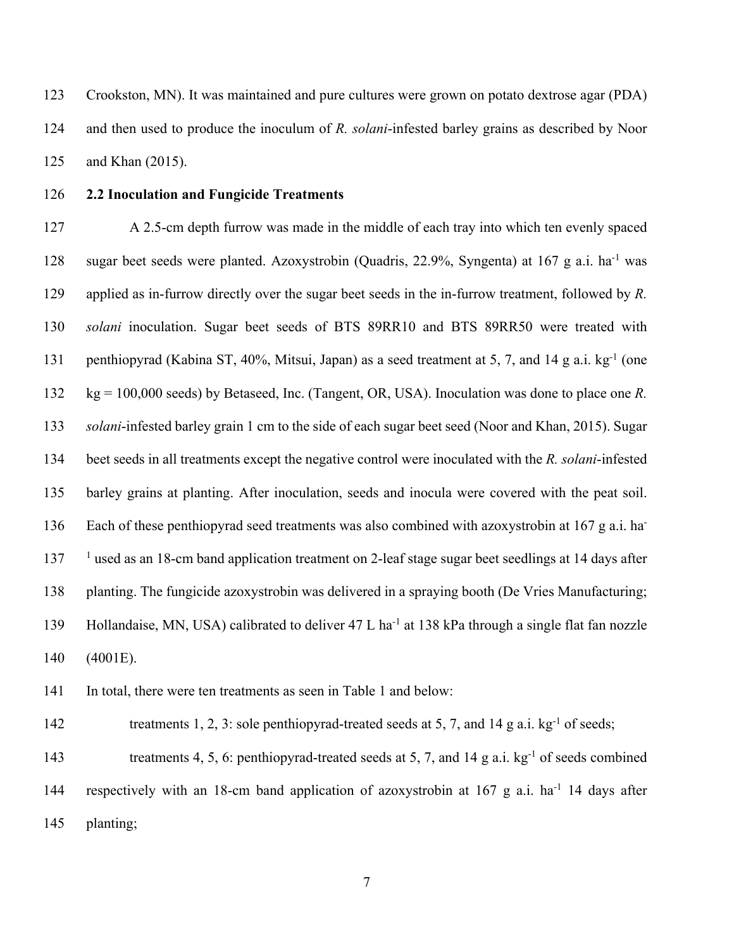Crookston, MN). It was maintained and pure cultures were grown on potato dextrose agar (PDA) and then used to produce the inoculum of *R. solani*-infested barley grains as described by Noor and Khan (2015).

## **2.2 Inoculation and Fungicide Treatments**

 A 2.5-cm depth furrow was made in the middle of each tray into which ten evenly spaced 128 sugar beet seeds were planted. Azoxystrobin (Quadris, 22.9%, Syngenta) at 167 g a.i. ha<sup>-1</sup> was applied as in-furrow directly over the sugar beet seeds in the in-furrow treatment, followed by *R. solani* inoculation. Sugar beet seeds of BTS 89RR10 and BTS 89RR50 were treated with 131 penthiopyrad (Kabina ST, 40%, Mitsui, Japan) as a seed treatment at 5, 7, and 14 g a.i. kg<sup>-1</sup> (one kg = 100,000 seeds) by Betaseed, Inc. (Tangent, OR, USA). Inoculation was done to place one *R. solani*-infested barley grain 1 cm to the side of each sugar beet seed (Noor and Khan, 2015). Sugar beet seeds in all treatments except the negative control were inoculated with the *R. solani*-infested barley grains at planting. After inoculation, seeds and inocula were covered with the peat soil. 136 Each of these penthiopyrad seed treatments was also combined with azoxystrobin at 167 g a.i. ha- <sup>1</sup> used as an 18-cm band application treatment on 2-leaf stage sugar beet seedlings at 14 days after planting. The fungicide azoxystrobin was delivered in a spraying booth (De Vries Manufacturing; 139 Hollandaise, MN, USA) calibrated to deliver 47 L ha<sup>-1</sup> at 138 kPa through a single flat fan nozzle (4001E).

In total, there were ten treatments as seen in Table 1 and below:

treatments 1, 2, 3: sole penthiopyrad-treated seeds at 5, 7, and 14 g a.i. kg<sup>-1</sup> of seeds;

143 treatments 4, 5, 6: penthiopyrad-treated seeds at 5, 7, and 14 g a.i.  $kg^{-1}$  of seeds combined 144 respectively with an 18-cm band application of azoxystrobin at g a.i. ha<sup>-1</sup> 14 days after planting;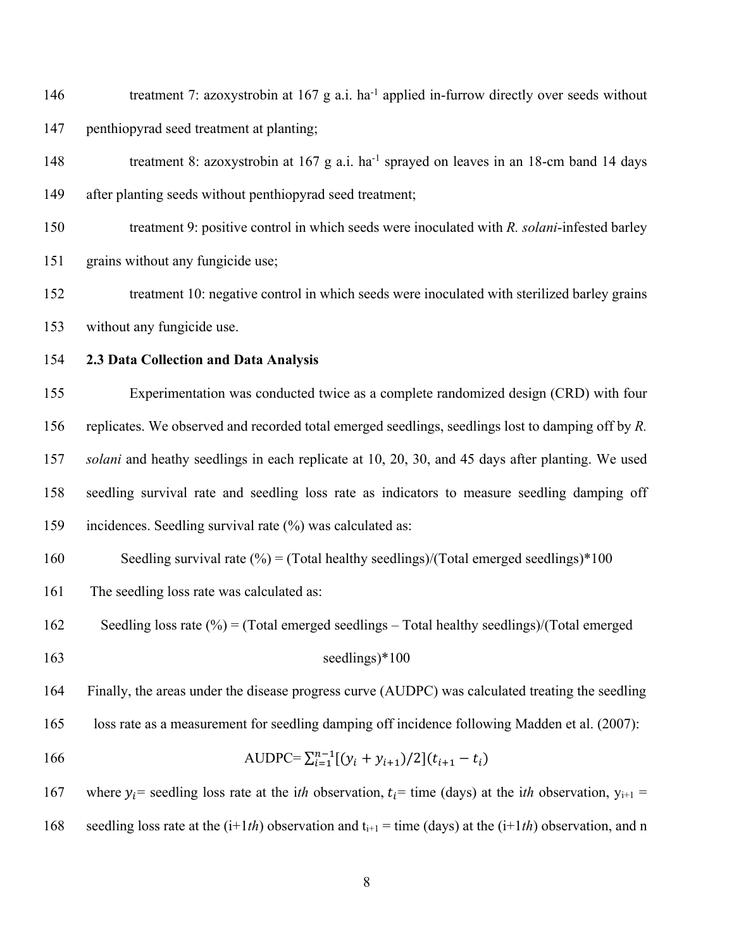146 treatment 7: azoxystrobin at g a.i. ha<sup>-1</sup> applied in-furrow directly over seeds without penthiopyrad seed treatment at planting;

148 treatment 8: azoxystrobin at g a.i. ha<sup>-1</sup> sprayed on leaves in an 18-cm band 14 days after planting seeds without penthiopyrad seed treatment;

- treatment 9: positive control in which seeds were inoculated with *R. solani*-infested barley grains without any fungicide use;
- treatment 10: negative control in which seeds were inoculated with sterilized barley grains without any fungicide use.
- 

## **2.3 Data Collection and Data Analysis**

 Experimentation was conducted twice as a complete randomized design (CRD) with four replicates. We observed and recorded total emerged seedlings, seedlings lost to damping off by *R. solani* and heathy seedlings in each replicate at 10, 20, 30, and 45 days after planting. We used seedling survival rate and seedling loss rate as indicators to measure seedling damping off incidences. Seedling survival rate (%) was calculated as:

160 Seedling survival rate  $(\%)$  = (Total healthy seedlings)/(Total emerged seedlings)\*100

- The seedling loss rate was calculated as:
- Seedling loss rate (%) = (Total emerged seedlings Total healthy seedlings)/(Total emerged
- 

### seedlings)\*100

Finally, the areas under the disease progress curve (AUDPC) was calculated treating the seedling

loss rate as a measurement for seedling damping off incidence following Madden et al. (2007):

166  $\text{AUDPC} = \sum_{i=1}^{n-1} [(y_i + y_{i+1})/2](t_{i+1} - t_i)$ 

167 where  $y_i$ = seedling loss rate at the i*th* observation,  $t_i$ = time (days) at the i*th* observation,  $y_{i+1}$  = 168 seedling loss rate at the  $(i+1th)$  observation and  $t_{i+1}$  = time (days) at the  $(i+1th)$  observation, and n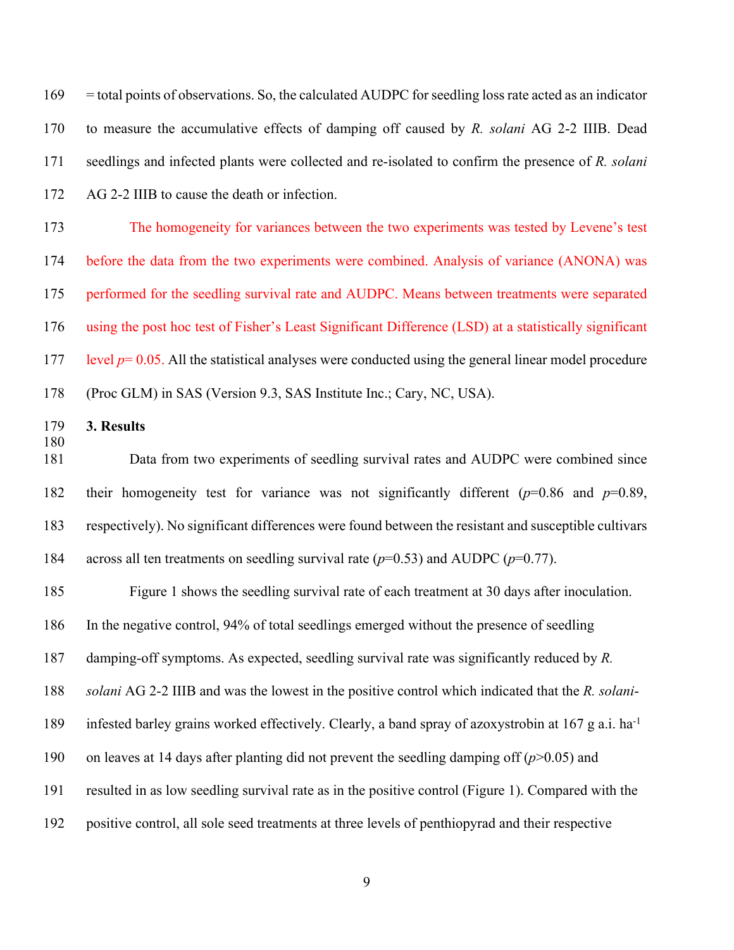| 169               | = total points of observations. So, the calculated AUDPC for seedling loss rate acted as an indicator           |  |  |  |  |
|-------------------|-----------------------------------------------------------------------------------------------------------------|--|--|--|--|
| 170               | to measure the accumulative effects of damping off caused by $R$ . solani AG 2-2 IIIB. Dead                     |  |  |  |  |
| 171               | seedlings and infected plants were collected and re-isolated to confirm the presence of R. solani               |  |  |  |  |
| 172               | AG 2-2 IIIB to cause the death or infection.                                                                    |  |  |  |  |
| 173               | The homogeneity for variances between the two experiments was tested by Levene's test                           |  |  |  |  |
| 174               | before the data from the two experiments were combined. Analysis of variance (ANONA) was                        |  |  |  |  |
| 175               | performed for the seedling survival rate and AUDPC. Means between treatments were separated                     |  |  |  |  |
| 176               | using the post hoc test of Fisher's Least Significant Difference (LSD) at a statistically significant           |  |  |  |  |
| 177               | level $p=0.05$ . All the statistical analyses were conducted using the general linear model procedure           |  |  |  |  |
| 178               | (Proc GLM) in SAS (Version 9.3, SAS Institute Inc.; Cary, NC, USA).                                             |  |  |  |  |
| 179<br>180<br>181 | 3. Results                                                                                                      |  |  |  |  |
|                   | Data from two experiments of seedling survival rates and AUDPC were combined since                              |  |  |  |  |
| 182               | their homogeneity test for variance was not significantly different ( $p=0.86$ and $p=0.89$ ,                   |  |  |  |  |
| 183               | respectively). No significant differences were found between the resistant and susceptible cultivars            |  |  |  |  |
| 184               | across all ten treatments on seedling survival rate ( $p=0.53$ ) and AUDPC ( $p=0.77$ ).                        |  |  |  |  |
| 185               | Figure 1 shows the seedling survival rate of each treatment at 30 days after inoculation.                       |  |  |  |  |
| 186               | In the negative control, 94% of total seedlings emerged without the presence of seedling                        |  |  |  |  |
| 187               | damping-off symptoms. As expected, seedling survival rate was significantly reduced by $R$ .                    |  |  |  |  |
| 188               | solani AG 2-2 IIIB and was the lowest in the positive control which indicated that the R. solani-               |  |  |  |  |
| 189               | infested barley grains worked effectively. Clearly, a band spray of azoxystrobin at 167 g a.i. ha <sup>-1</sup> |  |  |  |  |
| 190               | on leaves at 14 days after planting did not prevent the seedling damping off $(p>0.05)$ and                     |  |  |  |  |
| 191               | resulted in as low seedling survival rate as in the positive control (Figure 1). Compared with the              |  |  |  |  |
| 192               | positive control, all sole seed treatments at three levels of penthiopyrad and their respective                 |  |  |  |  |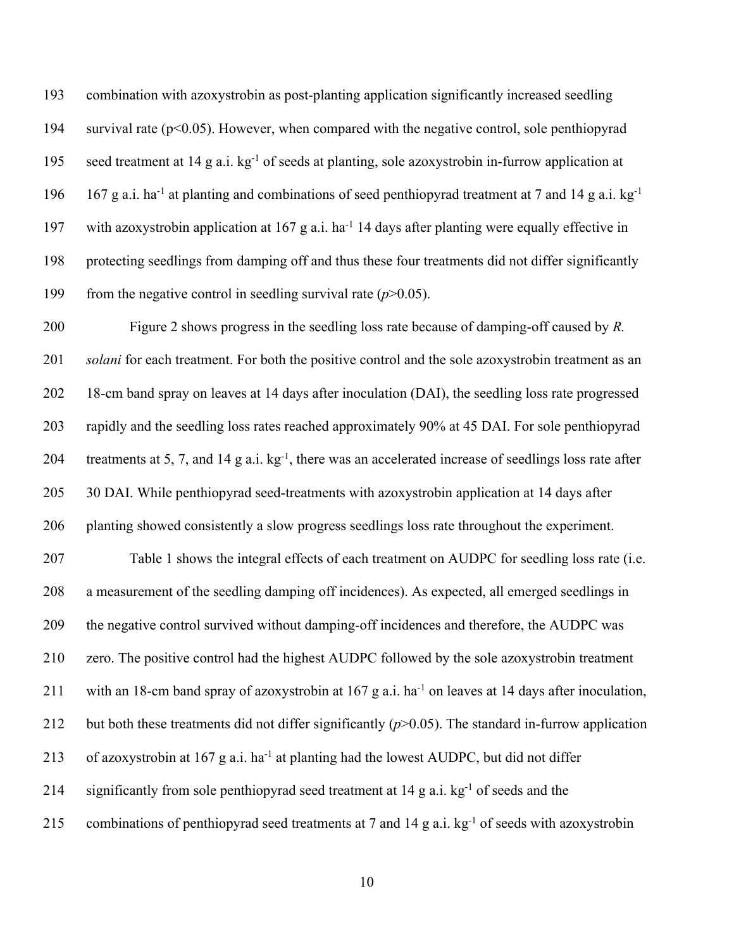combination with azoxystrobin as post-planting application significantly increased seedling 194 survival rate  $(p<0.05)$ . However, when compared with the negative control, sole penthiopyrad 195 seed treatment at 14 g a.i.  $kg^{-1}$  of seeds at planting, sole azoxystrobin in-furrow application at 196 167 g a.i. ha<sup>-1</sup> at planting and combinations of seed penthiopyrad treatment at 7 and 14 g a.i. kg<sup>-1</sup> 197 with azoxystrobin application at 167 g a.i. ha<sup>-1</sup> 14 days after planting were equally effective in protecting seedlings from damping off and thus these four treatments did not differ significantly 199 from the negative control in seedling survival rate  $(p>0.05)$ .

 Figure 2 shows progress in the seedling loss rate because of damping-off caused by *R. solani* for each treatment. For both the positive control and the sole azoxystrobin treatment as an 18-cm band spray on leaves at 14 days after inoculation (DAI), the seedling loss rate progressed rapidly and the seedling loss rates reached approximately 90% at 45 DAI. For sole penthiopyrad 204 treatments at 5, 7, and 14 g a.i.  $kg^{-1}$ , there was an accelerated increase of seedlings loss rate after 30 DAI. While penthiopyrad seed-treatments with azoxystrobin application at 14 days after planting showed consistently a slow progress seedlings loss rate throughout the experiment. Table 1 shows the integral effects of each treatment on AUDPC for seedling loss rate (i.e. a measurement of the seedling damping off incidences). As expected, all emerged seedlings in the negative control survived without damping-off incidences and therefore, the AUDPC was zero. The positive control had the highest AUDPC followed by the sole azoxystrobin treatment 211 with an 18-cm band spray of azoxystrobin at g a.i. ha<sup>-1</sup> on leaves at 14 days after inoculation, but both these treatments did not differ significantly (*p*>0.05). The standard in-furrow application 213 of azoxystrobin at 167 g a.i. ha<sup>-1</sup> at planting had the lowest AUDPC, but did not differ 214 significantly from sole penthiopyrad seed treatment at g a.i. kg<sup>-1</sup> of seeds and the 215 combinations of penthiopyrad seed treatments at 7 and 14 g a.i.  $kg^{-1}$  of seeds with azoxystrobin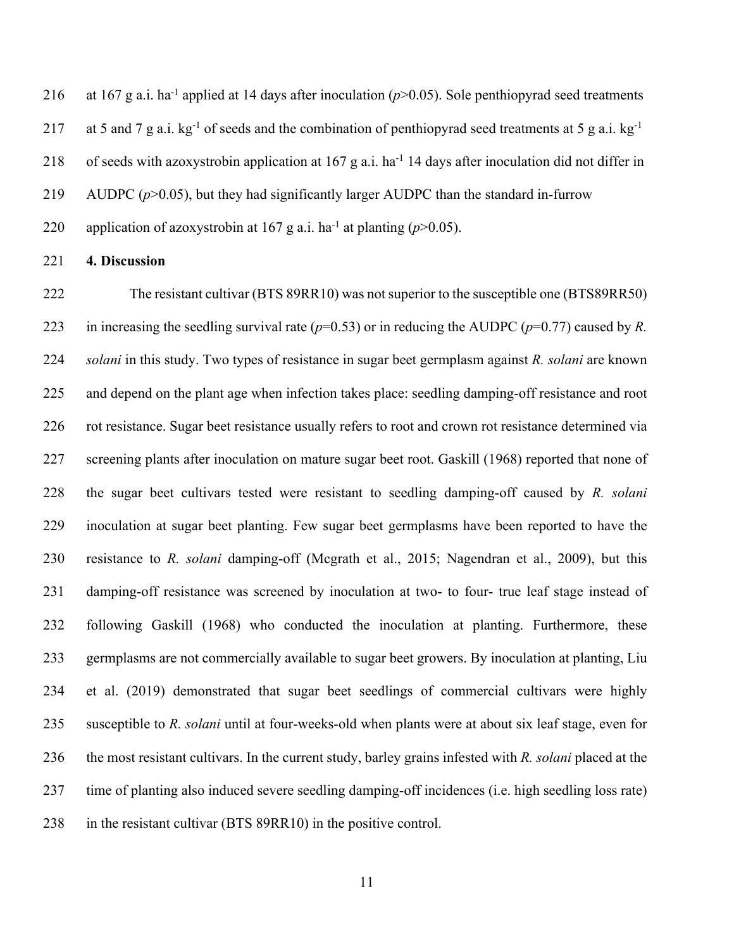216 at 167 g a.i. ha<sup>-1</sup> applied at 14 days after inoculation  $(p>0.05)$ . Sole penthiopyrad seed treatments 217 at 5 and 7 g a.i.  $kg^{-1}$  of seeds and the combination of penthiopyrad seed treatments at 5 g a.i.  $kg^{-1}$ 218 of seeds with azoxystrobin application at g a.i. ha<sup>-1</sup> 14 days after inoculation did not differ in AUDPC (*p*>0.05), but they had significantly larger AUDPC than the standard in-furrow 220 application of azoxystrobin at 167 g a.i. ha<sup>-1</sup> at planting ( $p$ >0.05).

#### **4. Discussion**

 The resistant cultivar (BTS 89RR10) was not superior to the susceptible one (BTS89RR50) in increasing the seedling survival rate (*p*=0.53) or in reducing the AUDPC (*p*=0.77) caused by *R. solani* in this study. Two types of resistance in sugar beet germplasm against *R. solani* are known and depend on the plant age when infection takes place: seedling damping-off resistance and root rot resistance. Sugar beet resistance usually refers to root and crown rot resistance determined via screening plants after inoculation on mature sugar beet root. Gaskill (1968) reported that none of the sugar beet cultivars tested were resistant to seedling damping-off caused by *R. solani* inoculation at sugar beet planting. Few sugar beet germplasms have been reported to have the resistance to *R. solani* damping-off (Mcgrath et al., 2015; Nagendran et al., 2009), but this damping-off resistance was screened by inoculation at two- to four- true leaf stage instead of following Gaskill (1968) who conducted the inoculation at planting. Furthermore, these germplasms are not commercially available to sugar beet growers. By inoculation at planting, Liu et al. (2019) demonstrated that sugar beet seedlings of commercial cultivars were highly susceptible to *R. solani* until at four-weeks-old when plants were at about six leaf stage, even for the most resistant cultivars. In the current study, barley grains infested with *R. solani* placed at the time of planting also induced severe seedling damping-off incidences (i.e. high seedling loss rate) in the resistant cultivar (BTS 89RR10) in the positive control.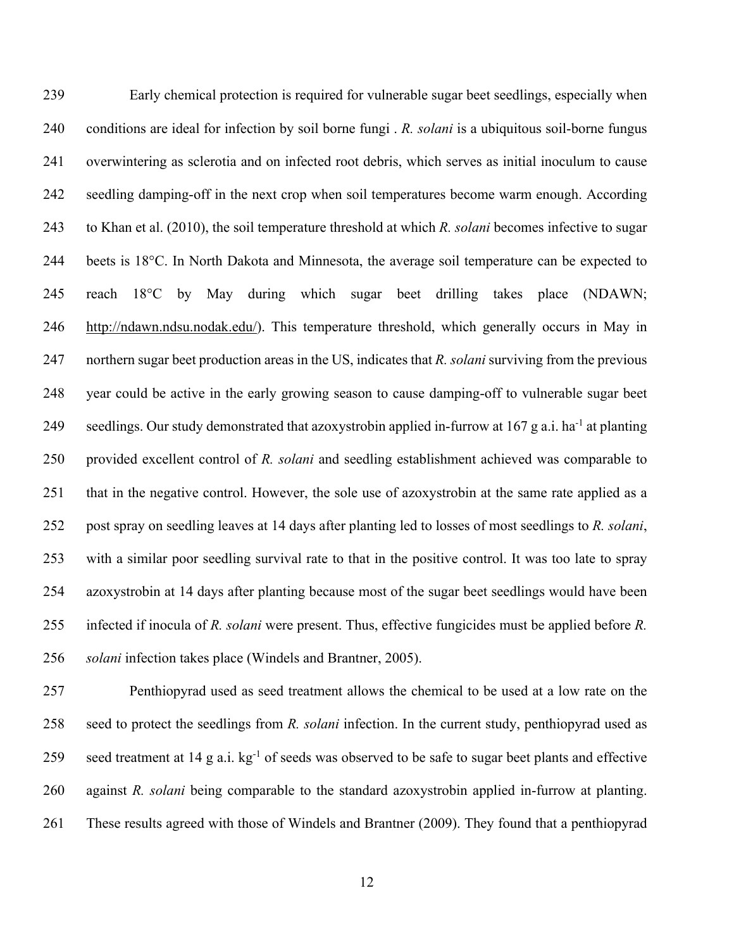Early chemical protection is required for vulnerable sugar beet seedlings, especially when conditions are ideal for infection by soil borne fungi . *R. solani* is a ubiquitous soil-borne fungus overwintering as sclerotia and on infected root debris, which serves as initial inoculum to cause seedling damping-off in the next crop when soil temperatures become warm enough. According to Khan et al. (2010), the soil temperature threshold at which *R. solani* becomes infective to sugar beets is 18°C. In North Dakota and Minnesota, the average soil temperature can be expected to reach 18°C by May during which sugar beet drilling takes place (NDAWN; http://ndawn.ndsu.nodak.edu/). This temperature threshold, which generally occurs in May in northern sugar beet production areas in the US, indicates that *R. solani* surviving from the previous year could be active in the early growing season to cause damping-off to vulnerable sugar beet 249 seedlings. Our study demonstrated that azoxystrobin applied in-furrow at g a.i. ha<sup>-1</sup> at planting provided excellent control of *R. solani* and seedling establishment achieved was comparable to that in the negative control. However, the sole use of azoxystrobin at the same rate applied as a post spray on seedling leaves at 14 days after planting led to losses of most seedlings to *R. solani*, with a similar poor seedling survival rate to that in the positive control. It was too late to spray azoxystrobin at 14 days after planting because most of the sugar beet seedlings would have been infected if inocula of *R. solani* were present. Thus, effective fungicides must be applied before *R. solani* infection takes place (Windels and Brantner, 2005).

 Penthiopyrad used as seed treatment allows the chemical to be used at a low rate on the seed to protect the seedlings from *R. solani* infection. In the current study, penthiopyrad used as 259 seed treatment at 14 g a.i.  $kg^{-1}$  of seeds was observed to be safe to sugar beet plants and effective against *R. solani* being comparable to the standard azoxystrobin applied in-furrow at planting. These results agreed with those of Windels and Brantner (2009). They found that a penthiopyrad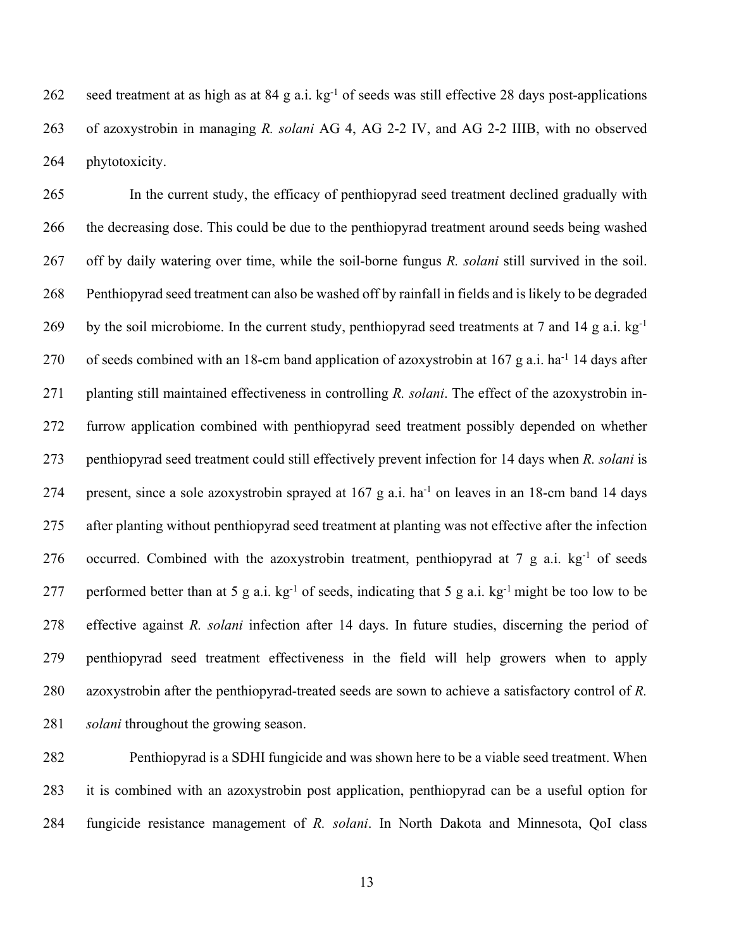262 seed treatment at as high as at 84 g a.i.  $kg^{-1}$  of seeds was still effective 28 days post-applications of azoxystrobin in managing *R. solani* AG 4, AG 2-2 IV, and AG 2-2 IIIB, with no observed phytotoxicity.

 In the current study, the efficacy of penthiopyrad seed treatment declined gradually with the decreasing dose. This could be due to the penthiopyrad treatment around seeds being washed off by daily watering over time, while the soil-borne fungus *R. solani* still survived in the soil. Penthiopyrad seed treatment can also be washed off by rainfall in fields and is likely to be degraded 269 by the soil microbiome. In the current study, penthiopyrad seed treatments at 7 and 14 g a.i. kg<sup>-1</sup> 270 of seeds combined with an 18-cm band application of azoxystrobin at g a.i. ha<sup>-1</sup> 14 days after planting still maintained effectiveness in controlling *R. solani*. The effect of the azoxystrobin in- furrow application combined with penthiopyrad seed treatment possibly depended on whether penthiopyrad seed treatment could still effectively prevent infection for 14 days when *R. solani* is 274 present, since a sole azoxystrobin sprayed at g a.i. ha<sup>-1</sup> on leaves in an 18-cm band 14 days after planting without penthiopyrad seed treatment at planting was not effective after the infection 276 occurred. Combined with the azoxystrobin treatment, penthiopyrad at 7 g a.i.  $kg^{-1}$  of seeds 277 performed better than at 5 g a.i.  $kg^{-1}$  of seeds, indicating that 5 g a.i.  $kg^{-1}$  might be too low to be effective against *R. solani* infection after 14 days. In future studies, discerning the period of penthiopyrad seed treatment effectiveness in the field will help growers when to apply azoxystrobin after the penthiopyrad-treated seeds are sown to achieve a satisfactory control of *R. solani* throughout the growing season.

 Penthiopyrad is a SDHI fungicide and was shown here to be a viable seed treatment. When it is combined with an azoxystrobin post application, penthiopyrad can be a useful option for fungicide resistance management of *R. solani*. In North Dakota and Minnesota, QoI class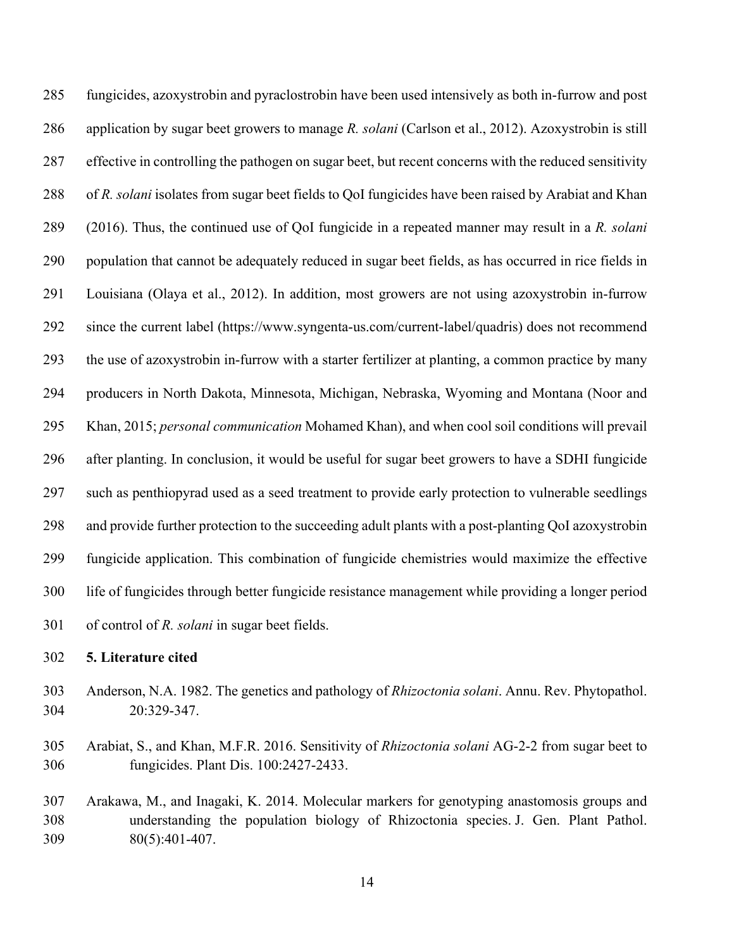fungicides, azoxystrobin and pyraclostrobin have been used intensively as both in-furrow and post application by sugar beet growers to manage *R. solani* (Carlson et al., 2012). Azoxystrobin is still effective in controlling the pathogen on sugar beet, but recent concerns with the reduced sensitivity of *R. solani* isolates from sugar beet fields to QoI fungicides have been raised by Arabiat and Khan (2016). Thus, the continued use of QoI fungicide in a repeated manner may result in a *R. solani* population that cannot be adequately reduced in sugar beet fields, as has occurred in rice fields in Louisiana (Olaya et al., 2012). In addition, most growers are not using azoxystrobin in-furrow since the current label (https://www.syngenta-us.com/current-label/quadris) does not recommend the use of azoxystrobin in-furrow with a starter fertilizer at planting, a common practice by many producers in North Dakota, Minnesota, Michigan, Nebraska, Wyoming and Montana (Noor and Khan, 2015; *personal communication* Mohamed Khan), and when cool soil conditions will prevail after planting. In conclusion, it would be useful for sugar beet growers to have a SDHI fungicide such as penthiopyrad used as a seed treatment to provide early protection to vulnerable seedlings and provide further protection to the succeeding adult plants with a post-planting QoI azoxystrobin fungicide application. This combination of fungicide chemistries would maximize the effective life of fungicides through better fungicide resistance management while providing a longer period of control of *R. solani* in sugar beet fields.

- **5. Literature cited**
- Anderson, N.A. 1982. The genetics and pathology of *Rhizoctonia solani*. Annu. Rev. Phytopathol. 20:329-347.
- Arabiat, S., and Khan, M.F.R. 2016. Sensitivity of *Rhizoctonia solani* AG-2-2 from sugar beet to fungicides. Plant Dis. 100:2427-2433.
- Arakawa, M., and Inagaki, K. 2014. Molecular markers for genotyping anastomosis groups and understanding the population biology of Rhizoctonia species. J. Gen. Plant Pathol. 80(5):401-407.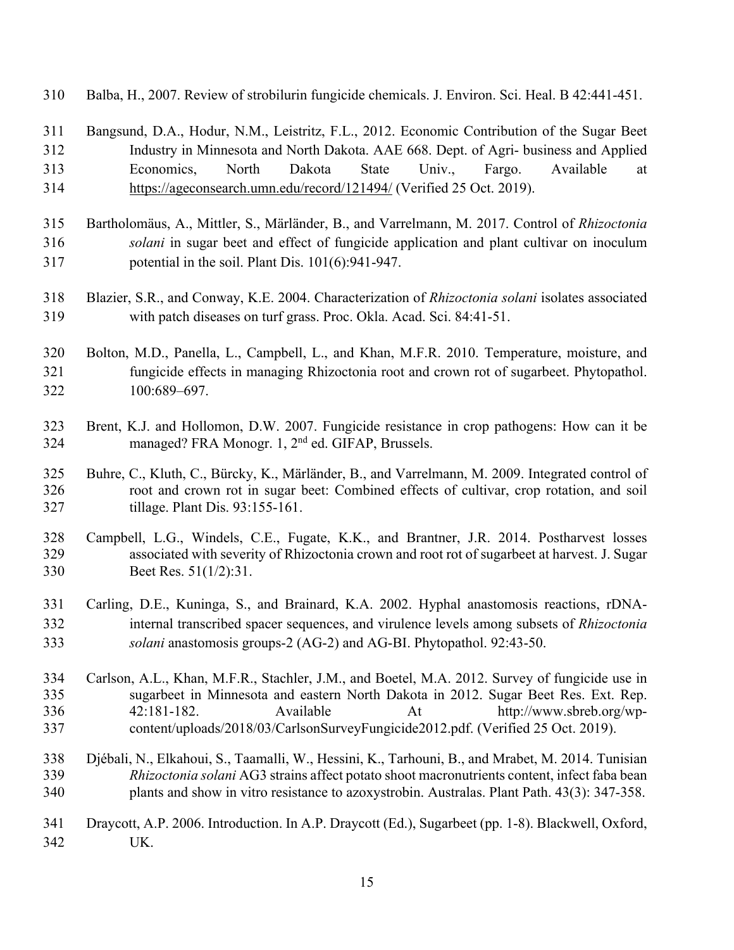- Balba, H., 2007. Review of strobilurin fungicide chemicals. J. Environ. Sci. Heal. B 42:441-451.
- Bangsund, D.A., Hodur, N.M., Leistritz, F.L., 2012. Economic Contribution of the Sugar Beet Industry in Minnesota and North Dakota. AAE 668. Dept. of Agri- business and Applied Economics, North Dakota State Univ., Fargo. Available at https://ageconsearch.umn.edu/record/121494/ (Verified 25 Oct. 2019).
- Bartholomäus, A., Mittler, S., Märländer, B., and Varrelmann, M. 2017. Control of *Rhizoctonia solani* in sugar beet and effect of fungicide application and plant cultivar on inoculum potential in the soil. Plant Dis. 101(6):941-947.
- Blazier, S.R., and Conway, K.E. 2004. Characterization of *Rhizoctonia solani* isolates associated with patch diseases on turf grass. Proc. Okla. Acad. Sci. 84:41-51.
- Bolton, M.D., Panella, L., Campbell, L., and Khan, M.F.R. 2010. Temperature, moisture, and fungicide effects in managing Rhizoctonia root and crown rot of sugarbeet. Phytopathol. 100:689–697.
- Brent, K.J. and Hollomon, D.W. 2007. Fungicide resistance in crop pathogens: How can it be 324 managed? FRA Monogr. 1,  $2<sup>nd</sup>$  ed. GIFAP, Brussels.
- Buhre, C., Kluth, C., Bürcky, K., Märländer, B., and Varrelmann, M. 2009. Integrated control of root and crown rot in sugar beet: Combined effects of cultivar, crop rotation, and soil tillage. Plant Dis. 93:155-161.
- Campbell, L.G., Windels, C.E., Fugate, K.K., and Brantner, J.R. 2014. Postharvest losses associated with severity of Rhizoctonia crown and root rot of sugarbeet at harvest. J. Sugar Beet Res. 51(1/2):31.
- Carling, D.E., Kuninga, S., and Brainard, K.A. 2002. Hyphal anastomosis reactions, rDNA- internal transcribed spacer sequences, and virulence levels among subsets of *Rhizoctonia solani* anastomosis groups-2 (AG-2) and AG-BI. Phytopathol. 92:43-50.
- Carlson, A.L., Khan, M.F.R., Stachler, J.M., and Boetel, M.A. 2012. Survey of fungicide use in sugarbeet in Minnesota and eastern North Dakota in 2012. Sugar Beet Res. Ext. Rep. 42:181-182. Available At http://www.sbreb.org/wp-content/uploads/2018/03/CarlsonSurveyFungicide2012.pdf. (Verified 25 Oct. 2019).
- Djébali, N., Elkahoui, S., Taamalli, W., Hessini, K., Tarhouni, B., and Mrabet, M. 2014. Tunisian *Rhizoctonia solani* AG3 strains affect potato shoot macronutrients content, infect faba bean plants and show in vitro resistance to azoxystrobin. Australas. Plant Path. 43(3): 347-358.
- Draycott, A.P. 2006. Introduction. In A.P. Draycott (Ed.), Sugarbeet (pp. 1-8). Blackwell, Oxford, UK.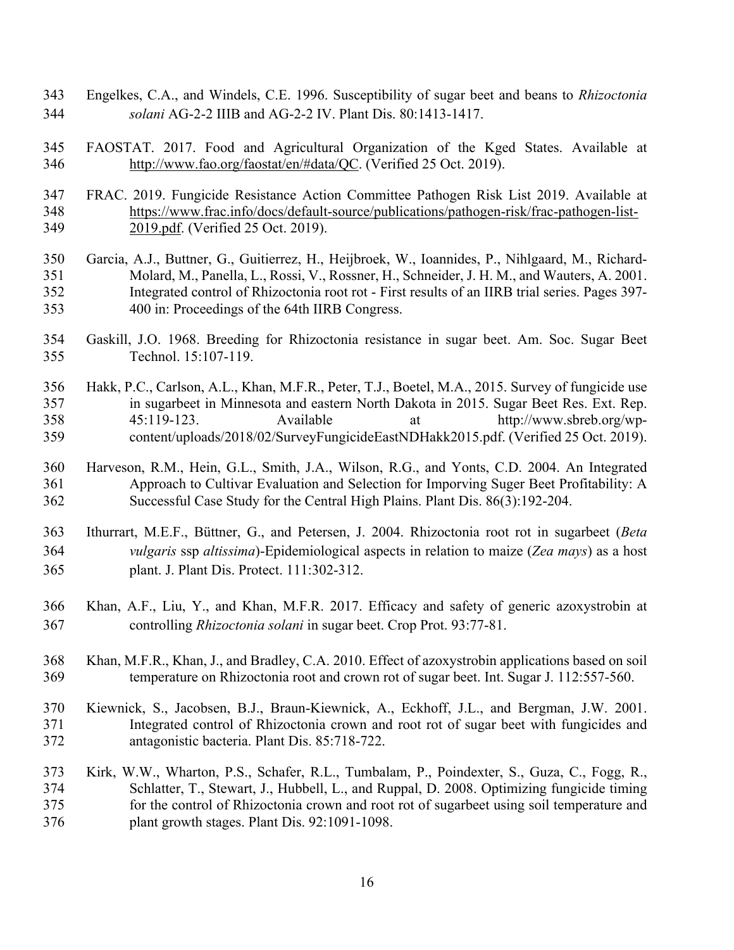- Engelkes, C.A., and Windels, C.E. 1996. Susceptibility of sugar beet and beans to *Rhizoctonia solani* AG-2-2 IIIB and AG-2-2 IV. Plant Dis. 80:1413-1417.
- FAOSTAT. 2017. Food and Agricultural Organization of the Kged States. Available at http://www.fao.org/faostat/en/#data/QC. (Verified 25 Oct. 2019).
- FRAC. 2019. Fungicide Resistance Action Committee Pathogen Risk List 2019. Available at https://www.frac.info/docs/default-source/publications/pathogen-risk/frac-pathogen-list-2019.pdf. (Verified 25 Oct. 2019).
- Garcia, A.J., Buttner, G., Guitierrez, H., Heijbroek, W., Ioannides, P., Nihlgaard, M., Richard- Molard, M., Panella, L., Rossi, V., Rossner, H., Schneider, J. H. M., and Wauters, A. 2001. Integrated control of Rhizoctonia root rot - First results of an IIRB trial series. Pages 397- 400 in: Proceedings of the 64th IIRB Congress.
- Gaskill, J.O. 1968. Breeding for Rhizoctonia resistance in sugar beet. Am. Soc. Sugar Beet Technol. 15:107-119.
- Hakk, P.C., Carlson, A.L., Khan, M.F.R., Peter, T.J., Boetel, M.A., 2015. Survey of fungicide use in sugarbeet in Minnesota and eastern North Dakota in 2015. Sugar Beet Res. Ext. Rep. 45:119-123. Available at http://www.sbreb.org/wp-content/uploads/2018/02/SurveyFungicideEastNDHakk2015.pdf. (Verified 25 Oct. 2019).
- Harveson, R.M., Hein, G.L., Smith, J.A., Wilson, R.G., and Yonts, C.D. 2004. An Integrated Approach to Cultivar Evaluation and Selection for Imporving Suger Beet Profitability: A Successful Case Study for the Central High Plains. Plant Dis. 86(3):192-204.
- Ithurrart, M.E.F., Büttner, G., and Petersen, J. 2004. Rhizoctonia root rot in sugarbeet (*Beta vulgaris* ssp *altissima*)-Epidemiological aspects in relation to maize (*Zea mays*) as a host plant. J. Plant Dis. Protect. 111:302-312.
- Khan, A.F., Liu, Y., and Khan, M.F.R. 2017. Efficacy and safety of generic azoxystrobin at controlling *Rhizoctonia solani* in sugar beet. Crop Prot. 93:77-81.
- Khan, M.F.R., Khan, J., and Bradley, C.A. 2010. Effect of azoxystrobin applications based on soil temperature on Rhizoctonia root and crown rot of sugar beet. Int. Sugar J. 112:557-560.
- Kiewnick, S., Jacobsen, B.J., Braun-Kiewnick, A., Eckhoff, J.L., and Bergman, J.W. 2001. Integrated control of Rhizoctonia crown and root rot of sugar beet with fungicides and antagonistic bacteria. Plant Dis. 85:718-722.
- Kirk, W.W., Wharton, P.S., Schafer, R.L., Tumbalam, P., Poindexter, S., Guza, C., Fogg, R., Schlatter, T., Stewart, J., Hubbell, L., and Ruppal, D. 2008. Optimizing fungicide timing for the control of Rhizoctonia crown and root rot of sugarbeet using soil temperature and plant growth stages. Plant Dis. 92:1091-1098.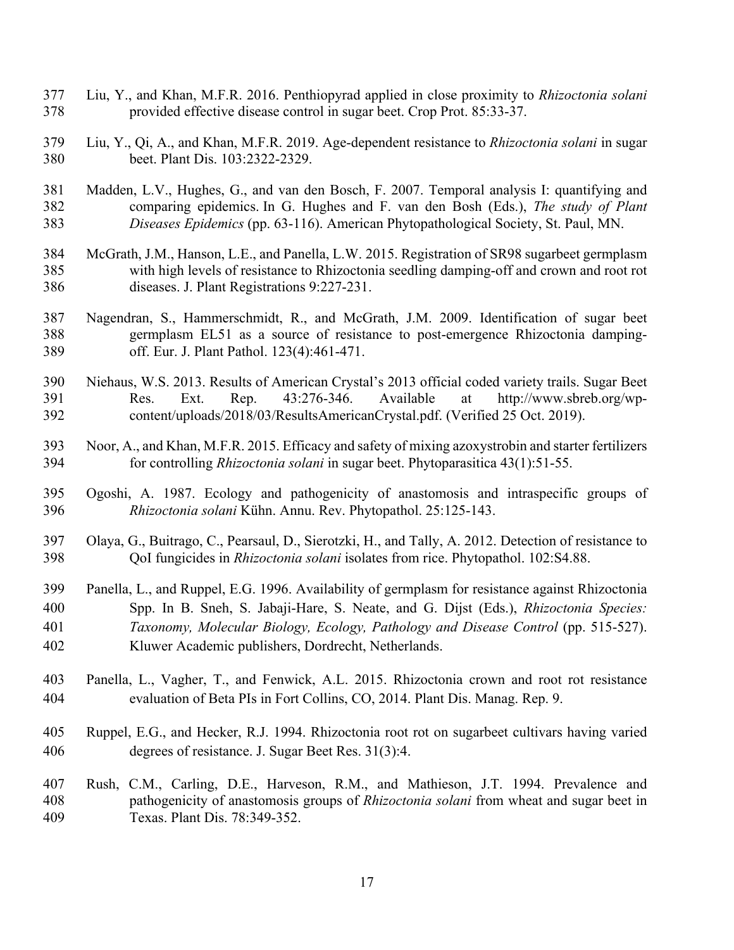- Liu, Y., and Khan, M.F.R. 2016. Penthiopyrad applied in close proximity to *Rhizoctonia solani* provided effective disease control in sugar beet. Crop Prot. 85:33-37.
- Liu, Y., Qi, A., and Khan, M.F.R. 2019. Age-dependent resistance to *Rhizoctonia solani* in sugar beet. Plant Dis. 103:2322-2329.
- Madden, L.V., Hughes, G., and van den Bosch, F. 2007. Temporal analysis I: quantifying and comparing epidemics. In G. Hughes and F. van den Bosh (Eds.), *The study of Plant Diseases Epidemics* (pp. 63-116). American Phytopathological Society, St. Paul, MN.
- McGrath, J.M., Hanson, L.E., and Panella, L.W. 2015. Registration of SR98 sugarbeet germplasm with high levels of resistance to Rhizoctonia seedling damping-off and crown and root rot diseases. J. Plant Registrations 9:227-231.
- Nagendran, S., Hammerschmidt, R., and McGrath, J.M. 2009. Identification of sugar beet germplasm EL51 as a source of resistance to post-emergence Rhizoctonia damping-off. Eur. J. Plant Pathol. 123(4):461-471.
- Niehaus, W.S. 2013. Results of American Crystal's 2013 official coded variety trails. Sugar Beet Res. Ext. Rep. 43:276-346. Available at http://www.sbreb.org/wp-content/uploads/2018/03/ResultsAmericanCrystal.pdf. (Verified 25 Oct. 2019).
- Noor, A., and Khan, M.F.R. 2015. Efficacy and safety of mixing azoxystrobin and starter fertilizers for controlling *Rhizoctonia solani* in sugar beet. Phytoparasitica 43(1):51-55.
- Ogoshi, A. 1987. Ecology and pathogenicity of anastomosis and intraspecific groups of *Rhizoctonia solani* Kühn. Annu. Rev. Phytopathol. 25:125-143.
- Olaya, G., Buitrago, C., Pearsaul, D., Sierotzki, H., and Tally, A. 2012. Detection of resistance to QoI fungicides in *Rhizoctonia solani* isolates from rice. Phytopathol. 102:S4.88.
- Panella, L., and Ruppel, E.G. 1996. Availability of germplasm for resistance against Rhizoctonia Spp. In B. Sneh, S. Jabaji-Hare, S. Neate, and G. Dijst (Eds.), *Rhizoctonia Species: Taxonomy, Molecular Biology, Ecology, Pathology and Disease Control* (pp. 515-527). Kluwer Academic publishers, Dordrecht, Netherlands.
- Panella, L., Vagher, T., and Fenwick, A.L. 2015. Rhizoctonia crown and root rot resistance evaluation of Beta PIs in Fort Collins, CO, 2014. Plant Dis. Manag. Rep. 9.
- Ruppel, E.G., and Hecker, R.J. 1994. Rhizoctonia root rot on sugarbeet cultivars having varied degrees of resistance. J. Sugar Beet Res. 31(3):4.
- Rush, C.M., Carling, D.E., Harveson, R.M., and Mathieson, J.T. 1994. Prevalence and pathogenicity of anastomosis groups of *Rhizoctonia solani* from wheat and sugar beet in Texas. Plant Dis. 78:349-352.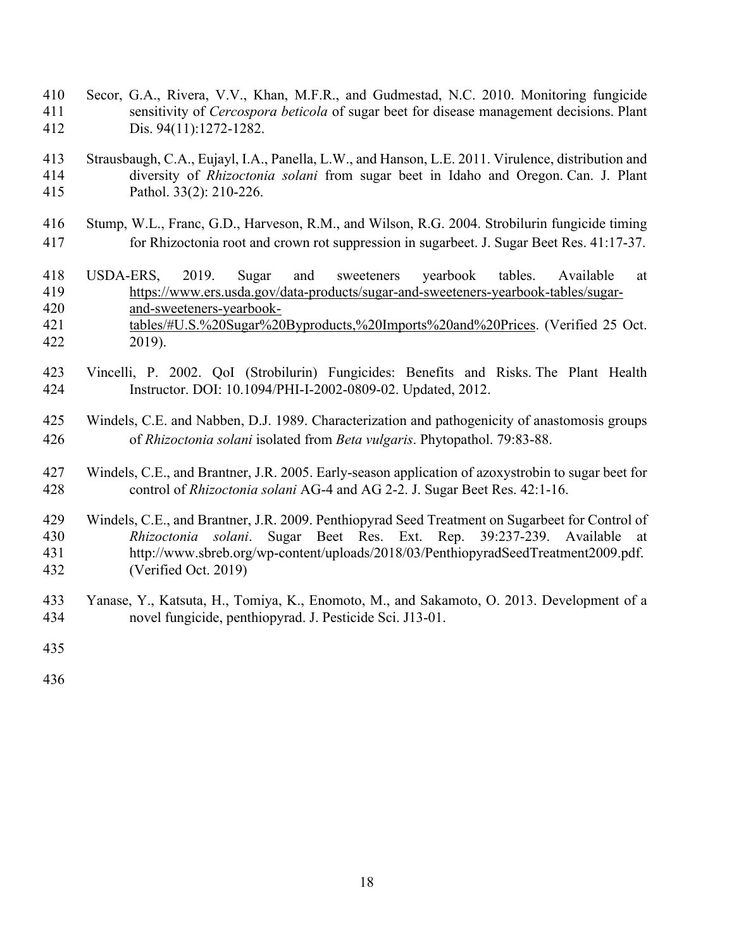- Secor, G.A., Rivera, V.V., Khan, M.F.R., and Gudmestad, N.C. 2010. Monitoring fungicide sensitivity of *Cercospora beticola* of sugar beet for disease management decisions. Plant Dis. 94(11):1272-1282.
- Strausbaugh, C.A., Eujayl, I.A., Panella, L.W., and Hanson, L.E. 2011. Virulence, distribution and diversity of *Rhizoctonia solani* from sugar beet in Idaho and Oregon. Can. J. Plant Pathol. 33(2): 210-226.
- Stump, W.L., Franc, G.D., Harveson, R.M., and Wilson, R.G. 2004. Strobilurin fungicide timing for Rhizoctonia root and crown rot suppression in sugarbeet. J. Sugar Beet Res. 41:17-37.
- USDA-ERS, 2019. Sugar and sweeteners yearbook tables. Available at https://www.ers.usda.gov/data-products/sugar-and-sweeteners-yearbook-tables/sugar- and-sweeteners-yearbook- tables/#U.S.%20Sugar%20Byproducts,%20Imports%20and%20Prices. (Verified 25 Oct. 2019).
- Vincelli, P. 2002. QoI (Strobilurin) Fungicides: Benefits and Risks. The Plant Health Instructor. DOI: 10.1094/PHI-I-2002-0809-02. Updated, 2012.
- Windels, C.E. and Nabben, D.J. 1989. Characterization and pathogenicity of anastomosis groups of *Rhizoctonia solani* isolated from *Beta vulgaris*. Phytopathol. 79:83-88.
- Windels, C.E., and Brantner, J.R. 2005. Early-season application of azoxystrobin to sugar beet for control of *Rhizoctonia solani* AG-4 and AG 2-2. J. Sugar Beet Res. 42:1-16.
- Windels, C.E., and Brantner, J.R. 2009. Penthiopyrad Seed Treatment on Sugarbeet for Control of *Rhizoctonia solani*. Sugar Beet Res. Ext. Rep. 39:237-239. Available at http://www.sbreb.org/wp-content/uploads/2018/03/PenthiopyradSeedTreatment2009.pdf. (Verified Oct. 2019)
- Yanase, Y., Katsuta, H., Tomiya, K., Enomoto, M., and Sakamoto, O. 2013. Development of a novel fungicide, penthiopyrad. J. Pesticide Sci. J13-01.
-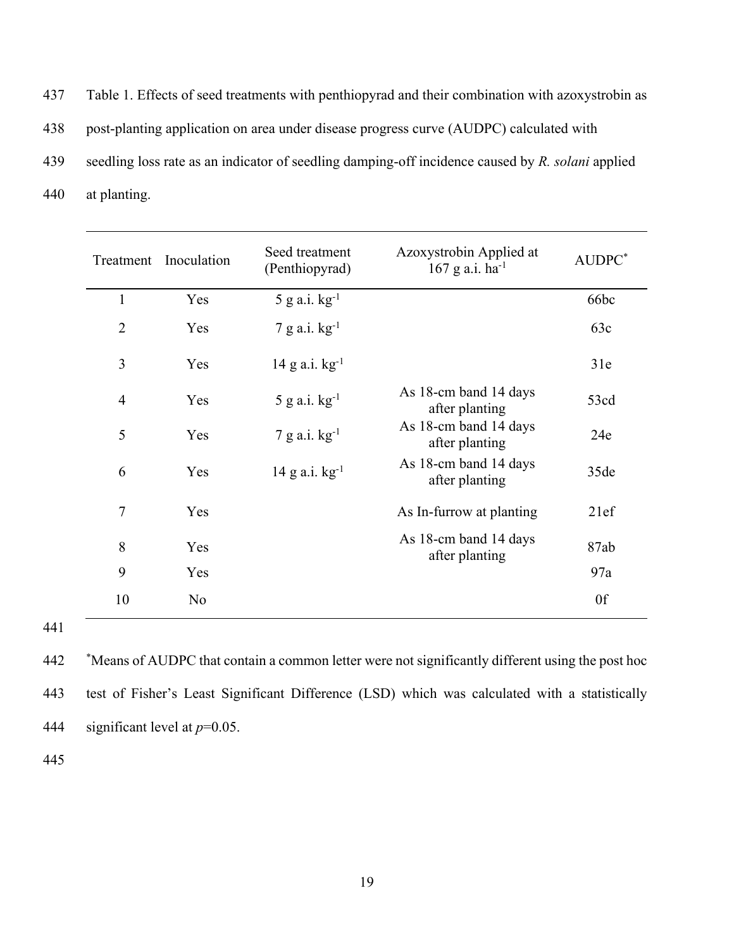Table 1. Effects of seed treatments with penthiopyrad and their combination with azoxystrobin as post-planting application on area under disease progress curve (AUDPC) calculated with seedling loss rate as an indicator of seedling damping-off incidence caused by *R. solani* applied at planting.

|                | Treatment Inoculation | Seed treatment<br>(Penthiopyrad) | Azoxystrobin Applied at<br>$167$ g a.i. ha <sup>-1</sup> | AUDPC* |
|----------------|-----------------------|----------------------------------|----------------------------------------------------------|--------|
| $\mathbf{1}$   | Yes                   | $5$ g a.i. $kg^{-1}$             |                                                          | 66bc   |
| $\overline{2}$ | Yes                   | $7$ g a.i. $kg^{-1}$             |                                                          | 63c    |
| 3              | Yes                   | $14 \text{ g a.i. kg}^{-1}$      |                                                          | 31e    |
| $\overline{4}$ | Yes                   | $5$ g a.i. $kg^{-1}$             | As 18-cm band 14 days<br>after planting                  | 53cd   |
| 5              | Yes                   | $7$ g a.i. $kg^{-1}$             | As 18-cm band 14 days<br>after planting                  | 24e    |
| 6              | Yes                   | 14 g a.i. $kg^{-1}$              | As 18-cm band 14 days<br>after planting                  | 35de   |
| $\overline{7}$ | Yes                   |                                  | As In-furrow at planting                                 | 21ef   |
| 8              | Yes                   |                                  | As 18-cm band 14 days<br>after planting                  | 87ab   |
| 9              | Yes                   |                                  |                                                          | 97a    |
| 10             | N <sub>o</sub>        |                                  |                                                          | 0f     |

 \* Means of AUDPC that contain a common letter were not significantly different using the post hoc test of Fisher's Least Significant Difference (LSD) which was calculated with a statistically significant level at *p*=0.05.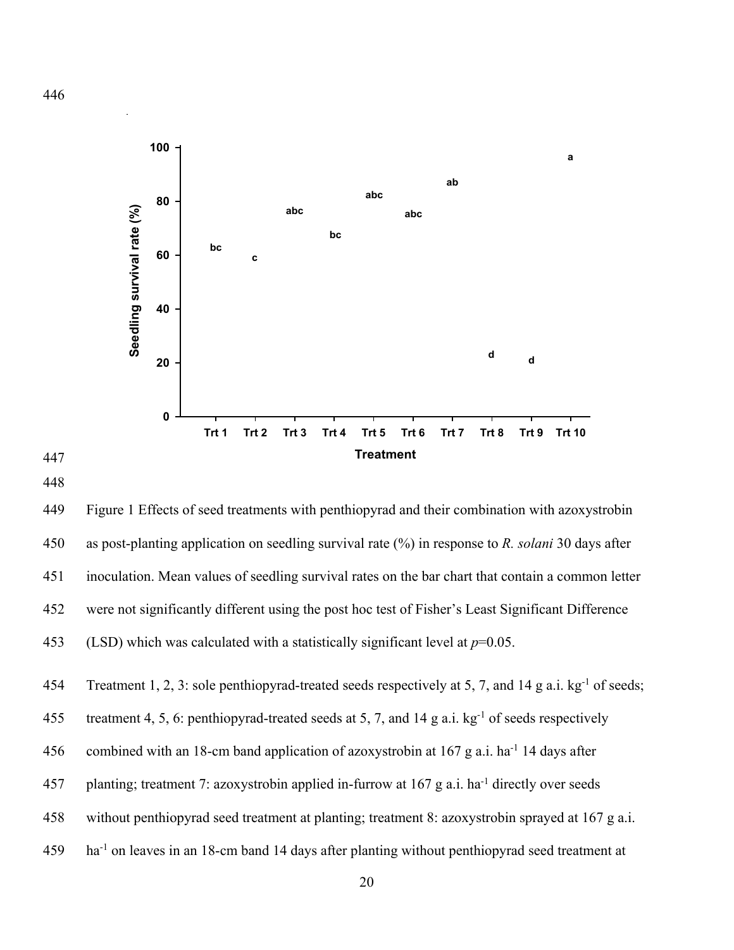

447

449 Figure 1 Effects of seed treatments with penthiopyrad and their combination with azoxystrobin 450 as post-planting application on seedling survival rate (%) in response to *R. solani* 30 days after 451 inoculation. Mean values of seedling survival rates on the bar chart that contain a common letter 452 were not significantly different using the post hoc test of Fisher's Least Significant Difference 453 (LSD) which was calculated with a statistically significant level at  $p=0.05$ .

454 Treatment 1, 2, 3: sole penthiopyrad-treated seeds respectively at 5, 7, and 14 g a.i. kg<sup>-1</sup> of seeds;

455 treatment 4, 5, 6: penthiopyrad-treated seeds at 5, 7, and 14 g a.i.  $kg^{-1}$  of seeds respectively

456 combined with an 18-cm band application of azoxystrobin at 167 g a.i. ha<sup>-1</sup> 14 days after

- 457 planting; treatment 7: azoxystrobin applied in-furrow at  $167$  g a.i. ha<sup>-1</sup> directly over seeds
- 458 without penthiopyrad seed treatment at planting; treatment 8: azoxystrobin sprayed at 167 g a.i.
- 459 ha<sup>-1</sup> on leaves in an 18-cm band 14 days after planting without penthiopyrad seed treatment at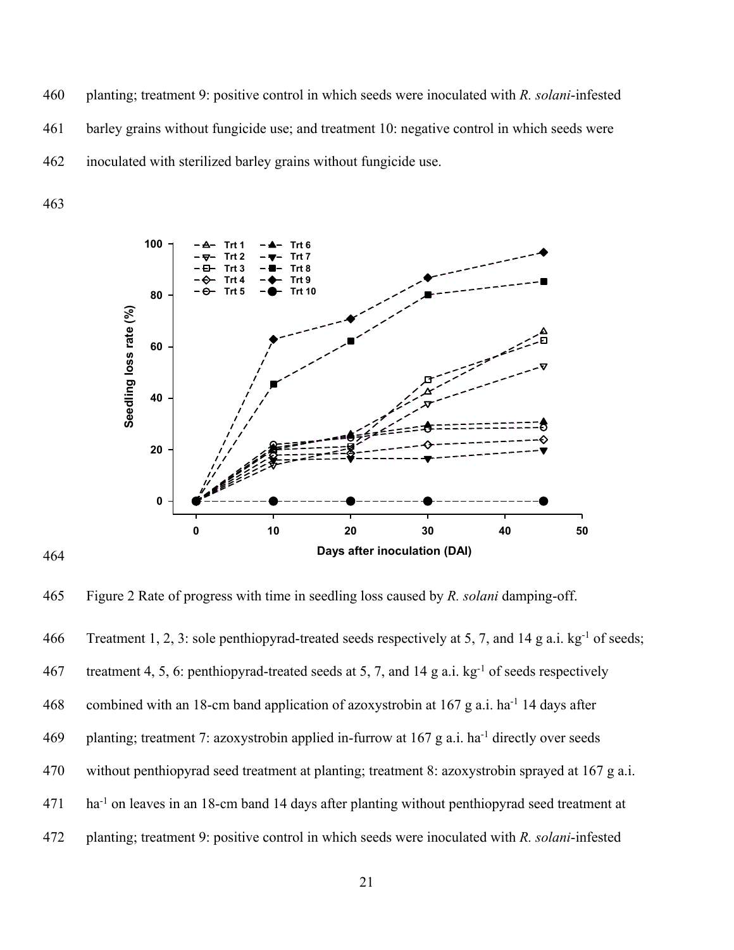460 planting; treatment 9: positive control in which seeds were inoculated with *R. solani*-infested 461 barley grains without fungicide use; and treatment 10: negative control in which seeds were 462 inoculated with sterilized barley grains without fungicide use.

463

464



465 Figure 2 Rate of progress with time in seedling loss caused by *R. solani* damping-off.

466 Treatment 1, 2, 3: sole penthiopyrad-treated seeds respectively at 5, 7, and 14 g a.i. kg<sup>-1</sup> of seeds;

467 treatment 4, 5, 6: penthiopyrad-treated seeds at 5, 7, and 14 g a.i.  $kg^{-1}$  of seeds respectively

468 combined with an 18-cm band application of azoxystrobin at 167 g a.i. ha<sup>-1</sup> 14 days after

- 469 planting; treatment 7: azoxystrobin applied in-furrow at  $167$  g a.i. ha<sup>-1</sup> directly over seeds
- 470 without penthiopyrad seed treatment at planting; treatment 8: azoxystrobin sprayed at 167 g a.i.
- 471 ha<sup>-1</sup> on leaves in an 18-cm band 14 days after planting without penthiopyrad seed treatment at
- 472 planting; treatment 9: positive control in which seeds were inoculated with *R. solani*-infested